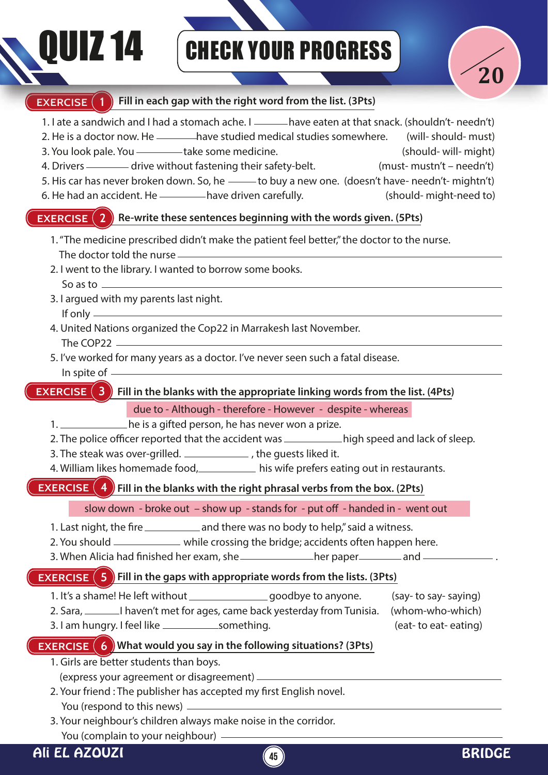## QUIZ 14 CHECK YOUR PROGRESS



#### **EXERCISE** (1 **Fill in each gap with the right word from the list. (3Pts)**

- 1. I ate a sandwich and I had a stomach ache. I <u>eccomes</u> have eaten at that snack. (shouldn't- needn't)
- 2. He is a doctor now. He <u>estidance</u> have studied medical studies somewhere. (will- should- must)
- 3. You look pale. You \_\_\_\_\_\_\_\_take some medicine. (should- will- might)
- 4. Drivers ———— drive without fastening their safety-belt. (must- mustn't needn't)
- 5. His car has never broken down. So, he --- to buy a new one. (doesn't have- needn't- mightn't)
- 6. He had an accident. He have driven carefully. (should- might-need to)

#### **EXERCISE (2)** Re-write these sentences beginning with the words given. (5Pts)

- 1. "The medicine prescribed didn't make the patient feel better," the doctor to the nurse. The doctor told the nurse
- 2. I went to the library. I wanted to borrow some books. So as to
- 3. I argued with my parents last night. If only
- 4. United Nations organized the Cop22 in Marrakesh last November. The COP22
- 5. I've worked for many years as a doctor. I've never seen such a fatal disease. In spite of

**EXERCISE (3)** Fill in the blanks with the appropriate linking words from the list. (4Pts)

due to - Although - therefore - However - despite - whereas

- 1. 1. he is a gifted person, he has never won a prize.
- 2. The police officer reported that the accident was \_\_\_\_\_\_\_\_\_\_\_\_\_high speed and lack of sleep.
- 3. The steak was over-grilled. \_\_\_\_\_\_\_\_\_\_\_\_\_\_\_, the quests liked it.
- 4. William likes homemade food, his wife prefers eating out in restaurants.

### **EXERCISE (4)** Fill in the blanks with the right phrasal verbs from the box. (2Pts)

slow down - broke out - show up - stands for - put off - handed in - went out

- 1. Last night, the fire \_\_\_\_\_\_\_\_\_\_\_\_\_ and there was no body to help," said a witness.
- 2. You should \_\_\_\_\_\_\_\_\_\_\_\_ while crossing the bridge; accidents often happen here.
- 3. When Alicia had finished her exam, she her paper her paper and  $-$

### **EXERCISE (5) Fill in the gaps with appropriate words from the lists. (3Pts)**

- 1. It's a shame! He left without \_\_\_\_\_\_\_\_\_\_\_\_\_\_\_\_\_\_\_\_goodbye to anyone. (say- to say- saying)
- 2. Sara, I haven't met for ages, came back yesterday from Tunisia. (whom-who-which)
- 3. I am hungry. I feel like something. (eat- to eat- eating)

## **EXERCISE (6) What would you say in the following situations? (3Pts)**

- 1. Girls are better students than boys.
	- (express your agreement or disagreement)
- 2. Your friend: The publisher has accepted my first English novel. You (respond to this news)
- 3. Your neighbour's children always make noise in the corridor. You (complain to your neighbour)

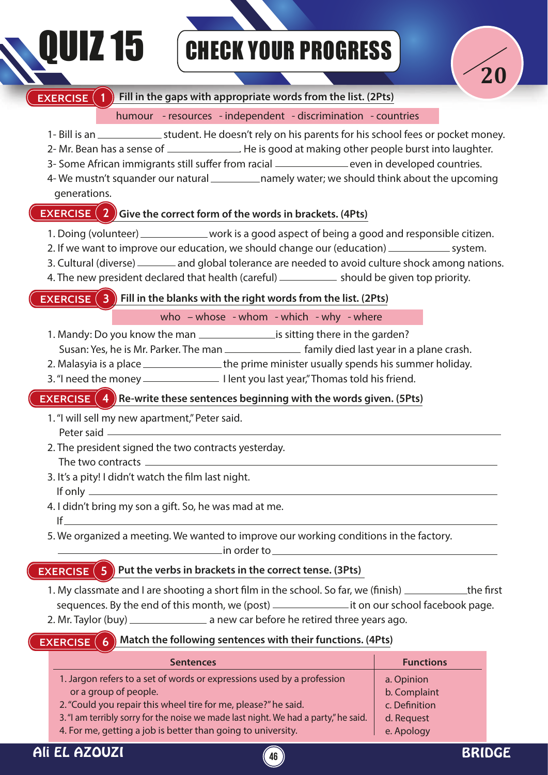## DUIZ 15 GHECK YOUR PROGRESS



#### **EXERCISE (1) Fill in the gaps with appropriate words from the list. (2Pts)**

#### humour - resources - independent - discrimination - countries

- 1- Bill is an \_\_\_\_\_\_\_\_\_\_\_\_\_\_\_\_\_\_student. He doesn't rely on his parents for his school fees or pocket money.
- 2- Mr. Bean has a sense of \_\_\_\_\_\_\_\_\_\_\_\_\_\_\_. He is good at making other people burst into laughter.
- 3- Some African immigrants still suffer from racial example 20 even in developed countries.
- 4- We mustn't squander our natural \_\_\_\_\_\_\_\_\_\_\_\_ namely water; we should think about the upcoming generations.

#### **EXERCISE (2)** Give the correct form of the words in brackets. (4Pts)

- 1. Doing (volunteer) \_\_\_\_\_\_\_\_\_\_\_\_\_ work is a good aspect of being a good and responsible citizen.
- 2. If we want to improve our education, we should change our (education) \_\_\_\_\_\_\_\_\_\_\_\_\_\_\_ system.
- 3. Cultural (diverse) \_\_\_\_\_\_\_ and global tolerance are needed to avoid culture shock among nations.
- 4. The new president declared that health (careful) \_\_\_\_\_\_\_\_\_\_\_ should be given top priority.

#### **EXERCISE (3) Fill in the blanks with the right words from the list. (2Pts)**

#### who – whose - whom - which - why - where

- 1. Mandy: Do you know the man is sitting there in the garden?
- Susan: Yes, he is Mr. Parker. The man **fact 10 mand family died last year in a plane crash.**
- 2. Malasyia is a place \_\_\_\_\_\_\_\_\_\_\_\_\_\_\_\_\_\_\_the prime minister usually spends his summer holiday.
- 3. "I need the money I lent you last year," Thomas told his friend.

#### **EXERCISE (4)** Re-write these sentences beginning with the words given. (5Pts)

- 1. "I will sell my new apartment," Peter said.
	- Peter said —
- 2. The president signed the two contracts yesterday. The two contracts
- 3. It's a pity! I didn't watch the film last night. If only
- 4. I didn't bring my son a gift. So, he was mad at me. If
- 5. We organized a meeting. We wanted to improve our working conditions in the factory.

in order to

### **EXERCISE**  $(5)$  Put the verbs in brackets in the correct tense. (3Pts)

- 1. My classmate and I are shooting a short film in the school. So far, we (finish)  $\frac{1}{1-\frac{1}{\sqrt{1-\frac{1}{\sqrt{1-\frac{1}{\sqrt{1-\frac{1}{\sqrt{1-\frac{1}{\sqrt{1-\frac{1}{\sqrt{1-\frac{1}{\sqrt{1-\frac{1}{\sqrt{1-\frac{1}{\sqrt{1-\frac{1}{\sqrt{1-\frac{1}{\sqrt{1-\frac{1}{\sqrt{1-\frac{1}{\sqrt{1-\frac{1}{\sqrt{1-\frac{1}{$ sequences. By the end of this month, we (post) \_\_\_\_\_\_\_\_\_\_\_\_\_\_\_\_\_\_\_\_\_\_\_\_\_\_\_\_\_\_\_\_\_\_ it on our school facebook page.
- 2. Mr. Taylor (buy) \_\_\_\_\_\_\_\_\_\_\_\_\_\_\_\_\_\_ a new car before he retired three years ago.

#### **EXERCISE (6) Match the following sentences with their functions. (4Pts)**

| <b>Sentences</b>                                                                    | <b>Functions</b> |
|-------------------------------------------------------------------------------------|------------------|
| 1. Jargon refers to a set of words or expressions used by a profession              | a. Opinion       |
| or a group of people.                                                               | b. Complaint     |
| 2. "Could you repair this wheel tire for me, please?" he said.                      | c. Definition    |
| 3. "I am terribly sorry for the noise we made last night. We had a party," he said. | d. Request       |
| 4. For me, getting a job is better than going to university.                        | e. Apology       |

**46**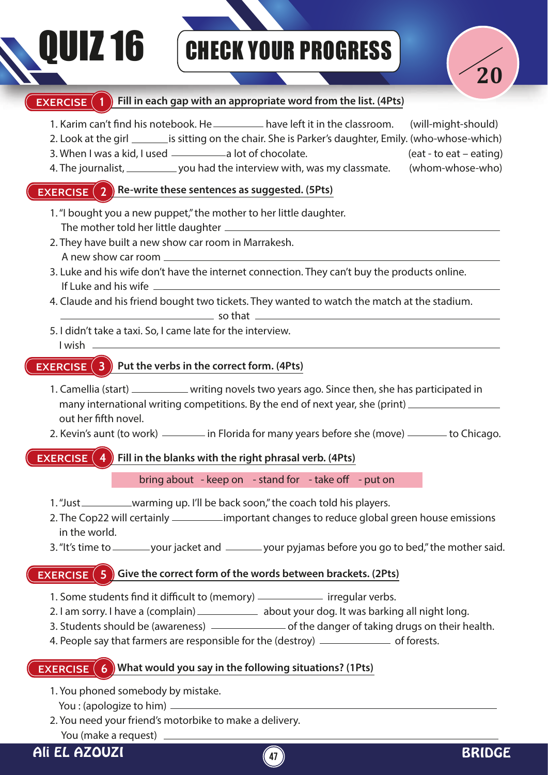# QUIZ 16 CHECK YOUR PROGRESS



#### **Fill in each gap with an appropriate word from the list. (4Pts) EXERCISE** (1

- **EXERCISE** 2 Re-write these sentences as suggested. (5Pts) **EXERCISE 3 EXERCISE 4** 1. Karim can't find his notebook. He \_\_\_\_\_\_\_\_\_ have left it in the classroom. (will-might-should) 2. Look at the girl **intertally is sitting on the chair.** She is Parker's daughter, Emily. (who-whose-which) 3. When I was a kid, I used a lot of chocolate. (eat - to eat – eating) 4. The journalist, you had the interview with, was my classmate. (whom-whose-who) 1. "I bought you a new puppet," the mother to her little daughter. The mother told her little daughter 2. They have built a new show car room in Marrakesh. A new show car room 3. Luke and his wife don't have the internet connection. They can't buy the products online. If Luke and his wife 4. Claude and his friend bought two tickets. They wanted to watch the match at the stadium.  $\overline{\phantom{a}}$  so that  $\overline{\phantom{a}}$ 5. I didn't take a taxi. So, I came late for the interview. I wish **8** Put the verbs in the correct form. (4Pts) 1. Camellia (start) \_\_\_\_\_\_\_\_\_\_\_ writing novels two years ago. Since then, she has participated in many international writing competitions. By the end of next year, she (print) out her fifth novel. 2. Kevin's aunt (to work) in Florida for many years before she (move) in the Chicago. **4** Fill in the blanks with the right phrasal verb. (4Pts) bring about - keep on - stand for - take off - put on
	- 1. "Just \_\_\_\_\_\_\_\_\_\_\_warming up. I'll be back soon," the coach told his players.
	- 2. The Cop22 will certainly \_\_\_\_\_\_\_\_\_\_\_ important changes to reduce global green house emissions in the world.
	- 3. "It's time to \_\_\_\_\_\_\_\_ your jacket and  $\_\_\_\_$  your pyjamas before you go to bed," the mother said.

#### **EXERCISE**  $(5)$  Give the correct form of the words between brackets. (2Pts)

- 1. Some students nd it dicult to (memory) irregular verbs.
- 2. I am sorry. I have a (complain) \_\_\_\_\_\_\_\_\_\_\_\_\_\_ about your dog. It was barking all night long.
- 3. Students should be (awareness) \_\_\_\_\_\_\_\_\_\_\_\_\_\_\_\_\_ of the danger of taking drugs on their health.
- 4. People say that farmers are responsible for the (destroy) \_\_\_\_\_\_\_\_\_\_\_\_\_\_\_ of forests.

#### **EXERCISE**  $(6)$  What would you say in the following situations? (1Pts)

- 1. You phoned somebody by mistake.
- You : (apologize to him)
- 2. You need your friend's motorbike to make a delivery. You (make a request)

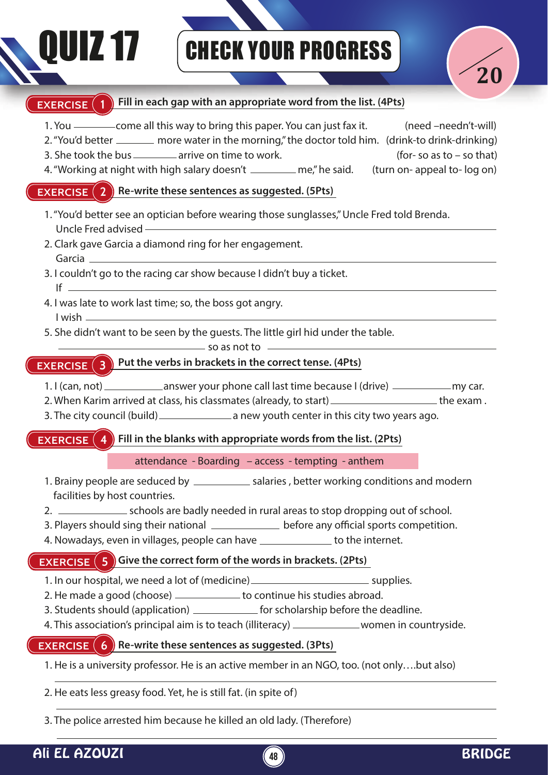# **IZ 17 CHECK YOUR PROGRESS**



### **EXERCISE** 1 Fill in each gap with an appropriate word from the list. (4Pts)

- 1. You \_\_\_\_\_\_\_\_\_\_ come all this way to bring this paper. You can just fax it. (need –needn't-will)
- 2. "You'd better \_\_\_\_\_\_ more water in the morning," the doctor told him. (drink-to drink-drinking)
- 3. She took the bus  $\frac{1}{2}$  arrive on time to work. (for- so as to so that)
- 
- 4. "Working at night with high salary doesn't \_\_\_\_\_\_\_ me," he said. (turn on- appeal to- log on)

#### **EXERCISE** (2) Re-write these sentences as suggested. (5Pts)

- 1. "You'd better see an optician before wearing those sunglasses," Uncle Fred told Brenda. Uncle Fred advised
- 2. Clark gave Garcia a diamond ring for her engagement. Garcia
- 3. I couldn't go to the racing car show because I didn't buy a ticket. If  $\equiv$
- 4. I was late to work last time; so, the boss got angry. I wish
- 5. She didn't want to be seen by the guests. The little girl hid under the table.

 $\equiv$  so as not to  $\equiv$ 

### **EXERCISE** (3) Put the verbs in brackets in the correct tense. (4Pts)

- 1. I (can, not) \_\_\_\_\_\_\_\_\_\_\_\_\_\_\_ answer your phone call last time because I (drive) \_\_\_\_\_\_\_\_\_\_\_\_\_\_ my car.
- 2. When Karim arrived at class, his classmates (already, to start) \_\_\_\_\_\_\_\_\_\_\_\_\_\_\_\_\_\_\_\_\_\_the exam .
- 3. The city council (build) \_\_\_\_\_\_\_\_\_\_\_\_\_\_\_\_\_\_\_\_ a new youth center in this city two years ago.

#### **EXERCISE** (  **Fill in the blanks with appropriate words from the list. (2Pts)**

attendance - Boarding – access - tempting - anthem

- 1. Brainy people are seduced by \_\_\_\_\_\_\_\_\_\_\_\_ salaries, better working conditions and modern facilities by host countries.
- 2. schools are badly needed in rural areas to stop dropping out of school.
- 3. Players should sing their national \_\_\_\_\_\_\_\_\_\_\_\_\_\_\_ before any official sports competition.
- 4. Nowadays, even in villages, people can have \_\_\_\_\_\_\_\_\_\_\_\_\_ to the internet.

#### **EXERCISE (5) Give the correct form of the words in brackets. (2Pts)**

- 1. In our hospital, we need a lot of (medicine) \_\_\_\_\_\_\_\_\_\_\_\_\_\_\_\_\_\_\_\_\_\_\_\_\_\_\_\_\_\_\_\_ supplies.
- 2. He made a good (choose) \_\_\_\_\_\_\_\_\_\_\_ to continue his studies abroad.
- 3. Students should (application) \_\_\_\_\_\_\_\_\_\_\_\_\_ for scholarship before the deadline.
- 4. This association's principal aim is to teach (illiteracy) \_\_\_\_\_\_\_\_\_\_\_\_\_women in countryside.

#### **EXERCISE (6) Re-write these sentences as suggested. (3Pts)**

- 1. He is a university professor. He is an active member in an NGO, too. (not only….but also)
- 2. He eats less greasy food. Yet, he is still fat. (in spite of)
- 3. The police arrested him because he killed an old lady. (Therefore)

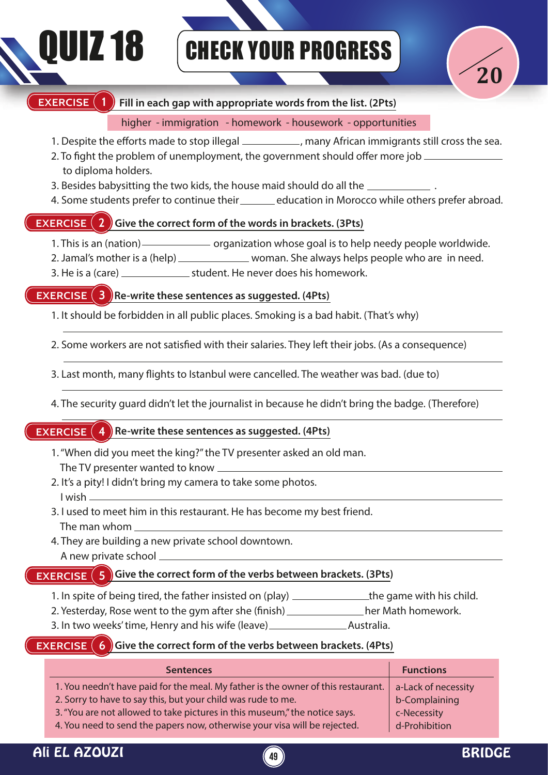## **IZ 18** CHECK YOUR PROGRESS



#### **EXERCISE (1)** Fill in each gap with appropriate words from the list. (2Pts)

#### higher - immigration - homework - housework - opportunities

- 1. Despite the efforts made to stop illegal (and increase ), many African immigrants still cross the sea.
- 2. To fight the problem of unemployment, the government should offer more job  $\equiv$ to diploma holders.
- 3. Besides babysitting the two kids, the house maid should do all the .
- 4. Some students prefer to continue their education in Morocco while others prefer abroad.

#### **EXERCISE 2 2** Give the correct form of the words in brackets. (3Pts)

- 1. This is an (nation) <u>—————</u> organization whose goal is to help needy people worldwide.
- 2. Jamal's mother is a (help) \_\_\_\_\_\_\_\_\_\_\_\_\_\_\_ woman. She always helps people who are in need.
- 3. He is a (care) student. He never does his homework.

#### **EXERCISE** (3) Re-write these sentences as suggested. (4Pts)

1. It should be forbidden in all public places. Smoking is a bad habit. (That's why)

2. Some workers are not satisfied with their salaries. They left their jobs. (As a consequence)

- 3. Last month, many flights to Istanbul were cancelled. The weather was bad. (due to)
- 4. The security guard didn't let the journalist in because he didn't bring the badge. (Therefore)

#### **EXERCISE** (4) Re-write these sentences as suggested. (4Pts)

- 1. "When did you meet the king?" the TV presenter asked an old man. The TV presenter wanted to know
- 2. It's a pity! I didn't bring my camera to take some photos.
- 3. I used to meet him in this restaurant. He has become my best friend. The man whom
- 4. They are building a new private school downtown. A new private school

#### **EXERCISE**  $\left( 5 \right)$  Give the correct form of the verbs between brackets. (3Pts)

- 1. In spite of being tired, the father insisted on (play) \_\_\_\_\_\_\_\_\_\_\_\_\_\_\_the game with his child.
- 2. Yesterday, Rose went to the gym after she (finish) \_\_\_\_\_\_\_\_\_\_\_\_\_\_her Math homework.
- 3. In two weeks' time, Henry and his wife (leave) \_\_\_\_\_\_\_\_\_\_\_\_\_\_\_\_\_\_\_\_\_\_\_\_\_\_\_\_\_\_\_ Australia.

#### **EXERCISE (6)** Give the correct form of the verbs between brackets. (4Pts)

| <b>Sentences</b>                                                                  | <b>Functions</b>    |
|-----------------------------------------------------------------------------------|---------------------|
| 1. You needn't have paid for the meal. My father is the owner of this restaurant. | a-Lack of necessity |
| 2. Sorry to have to say this, but your child was rude to me.                      | b-Complaining       |
| 3. "You are not allowed to take pictures in this museum," the notice says.        | c-Necessity         |
| 4. You need to send the papers now, otherwise your visa will be rejected.         | d-Prohibition       |

I wish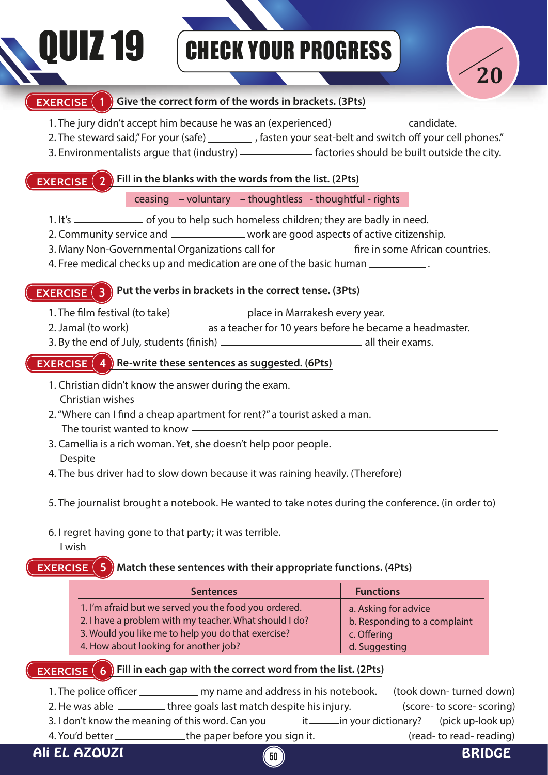## QUIZ 19 CHECK YOUR PROGRESS



#### **EXERCISE 1** Give the correct form of the words in brackets. (3Pts)

- 1. The jury didn't accept him because he was an (experienced) \_\_\_\_\_\_\_\_\_\_\_\_\_\_\_\_\_\_candidate.
- 2. The steward said," For your (safe) \_\_\_\_\_\_\_\_\_\_, fasten your seat-belt and switch off your cell phones."
- 3. Environmentalists argue that (industry) \_\_\_\_\_\_\_\_\_\_\_\_\_\_ factories should be built outside the city.

### **EXERCISE 2 Fill in the blanks with the words from the list. (2Pts)**

#### ceasing – voluntary – thoughtless - thoughtful - rights

- 1. It's \_\_\_\_\_\_\_\_\_\_\_\_\_\_\_\_ of you to help such homeless children; they are badly in need.
- 2. Community service and \_\_\_\_\_\_\_\_\_\_\_\_\_\_ work are good aspects of active citizenship.
- 3. Many Non-Governmental Organizations call for re in some African countries.
- 4. Free medical checks up and medication are one of the basic human .

#### **EXERCISE** (3) Put the verbs in brackets in the correct tense. (3Pts)

- 1. The film festival (to take) \_\_\_\_\_\_\_\_\_\_\_\_\_\_\_ place in Marrakesh every year.
- 2. Jamal (to work) as a teacher for 10 years before he became a headmaster.
- 3. By the end of July, students (finish) \_\_\_\_\_\_\_\_\_\_\_\_\_\_\_\_\_\_\_\_\_\_\_\_\_\_\_\_\_\_\_\_\_\_ all their exams.

#### **EXERCISE** (4) Re-write these sentences as suggested. (6Pts)

- 1. Christian didn't know the answer during the exam. Christian wishes
- 2. "Where can I find a cheap apartment for rent?" a tourist asked a man. The tourist wanted to know
- 3. Camellia is a rich woman. Yet, she doesn't help poor people. Despite -
- 4. The bus driver had to slow down because it was raining heavily. (Therefore)
- 5. The journalist brought a notebook. He wanted to take notes during the conference. (in order to)
- 6. I regret having gone to that party; it was terrible. I wish

#### **EXERCISE** 5  **Match these sentences with their appropriate functions. (4Pts)**

| <b>Sentences</b>                                       | <b>Functions</b>             |
|--------------------------------------------------------|------------------------------|
| 1. I'm afraid but we served you the food you ordered.  | a. Asking for advice         |
| 2. I have a problem with my teacher. What should I do? | b. Responding to a complaint |
| 3. Would you like me to help you do that exercise?     | c. Offering                  |
| 4. How about looking for another job?                  | d. Suggesting                |

#### **EXERCISE**  $(6)$  Fill in each gap with the correct word from the list. (2Pts)

1. The police officer \_\_\_\_\_\_\_\_\_\_\_\_\_ my name and address in his notebook. (took down- turned down) 2. He was able \_\_\_\_\_\_\_\_\_ three goals last match despite his injury. (score- to score- scoring) 3. I don't know the meaning of this word. Can you  $\frac{1}{\text{min}}$  in your dictionary? (pick up-look up) 4. You'd better \_\_\_\_\_\_\_\_\_\_\_\_\_\_the paper before you sign it. (read- to read- reading)

Ali EL AZOUZI **50** BRIDGE

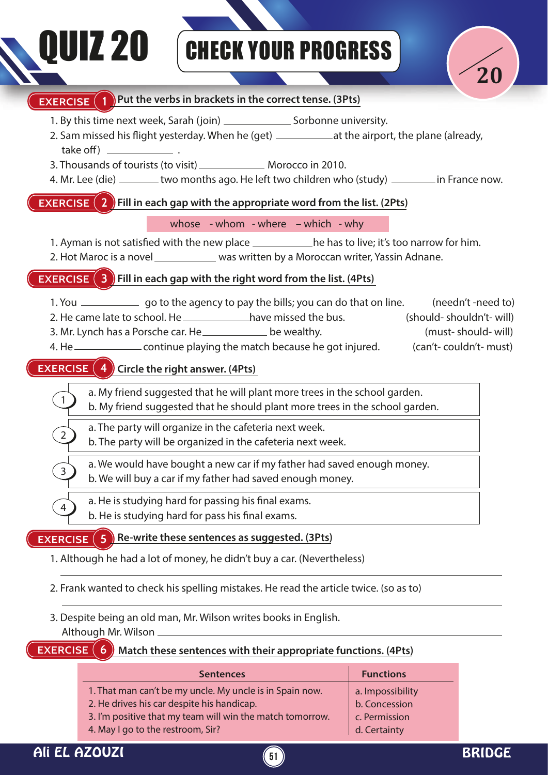# **DUIZ 20** GHECK YOUR PROGRESS



### **EXERCISE (2)** Fill in each gap with the appropriate word from the list. (2Pts) **EXERCISE** (3) Fill in each gap with the right word from the list. (4Pts) **EXERCISE 4 Circle the right answer. (4Pts) EXERCISE** (5) Re-write these sentences as suggested. (3Pts) **EXERCISE (6)** Match these sentences with their appropriate functions. (4Pts) **EXERCISE** 1 Put the verbs in brackets in the correct tense. (3Pts) 1. By this time next week, Sarah (join) \_\_\_\_\_\_\_\_\_\_\_\_\_\_\_\_\_ Sorbonne university. 2. Sam missed his flight yesterday. When he (get) \_\_\_\_\_\_\_\_\_\_\_\_\_ at the airport, the plane (already, take off)  $-$ 3. Thousands of tourists (to visit) \_\_\_\_\_\_\_\_\_\_\_\_\_\_\_ Morocco in 2010. 4. Mr. Lee (die) \_\_\_\_\_\_two months ago. He left two children who (study) \_\_\_\_\_\_\_\_ in France now. 1. You \_\_\_\_\_\_\_\_\_\_\_\_\_\_ go to the agency to pay the bills; you can do that on line. (needn't -need to) 2. He came late to school. He have missed the bus. (should- shouldn't- will) 3. Mr. Lynch has a Porsche car. He be wealthy. (must- should- will) 4. He \_\_\_\_\_\_\_\_\_\_\_\_\_\_\_\_\_ continue playing the match because he got injured. (can't- couldn't- must) 1. Although he had a lot of money, he didn't buy a car. (Nevertheless) 2. Frank wanted to check his spelling mistakes. He read the article twice. (so as to) 3. Despite being an old man, Mr. Wilson writes books in English. Although Mr. Wilson a. My friend suggested that he will plant more trees in the school garden. b. My friend suggested that he should plant more trees in the school garden. a. The party will organize in the cafeteria next week. b. The party will be organized in the cafeteria next week. a. We would have bought a new car if my father had saved enough money. b. We will buy a car if my father had saved enough money. a. He is studying hard for passing his final exams. b. He is studying hard for pass his final exams. 1. Ayman is not satisfied with the new place he has to live; it's too narrow for him. 2. Hot Maroc is a novel was written by a Moroccan writer, Yassin Adnane. whose - whom - where – which - why 1. That man can't be my uncle. My uncle is in Spain now. 2. He drives his car despite his handicap. a. Impossibility b. Concession **Sentences Functions** 1 2 3 4

- 3. I'm positive that my team will win the match tomorrow.
- 4. May I go to the restroom, Sir?

c. Permission d. Certainty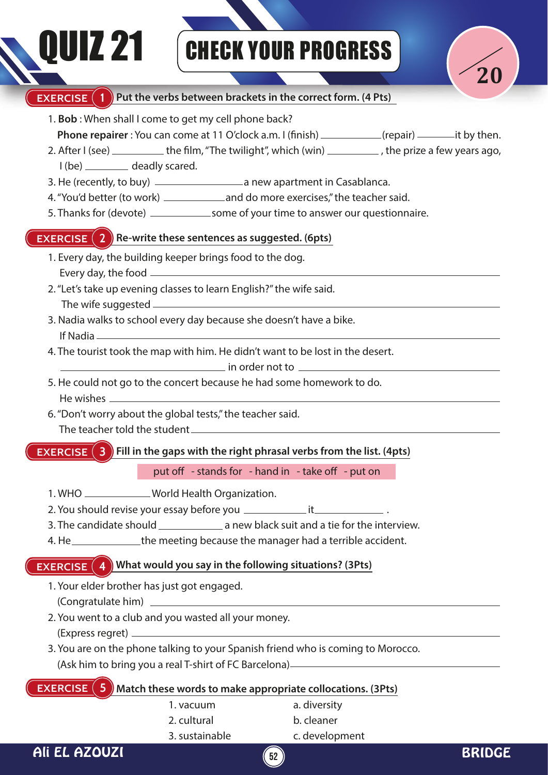# QUIZ 21 CHECK YOUR PROGRESS



#### **EXERCISE** (1) Put the verbs between brackets in the correct form. (4 Pts) 1. **Bob** : When shall I come to get my cell phone back? **Phone repairer** : You can come at 11 O'clock a.m. I (finish) (repair) it by then. 2. After  $I$  (see)  $\_\_\_\_\_\_\$ the film, "The twilight", which (win)  $\_\_\_\_\_\_\_\$ , the prize a few years ago, I (be) \_\_\_\_\_\_\_\_\_\_ deadly scared. 3. He (recently, to buy) \_\_\_\_\_\_\_\_\_\_\_\_\_\_\_\_\_\_\_\_\_\_ a new apartment in Casablanca. 4. "You'd better (to work) \_\_\_\_\_\_\_\_\_\_\_\_\_ and do more exercises," the teacher said. 5. Thanks for (devote) \_\_\_\_\_\_\_\_\_\_\_\_\_\_\_some of your time to answer our questionnaire. **EXERCISE (3) Fill in the gaps with the right phrasal verbs from the list. (4pts)** 1. WHO \_\_\_\_\_\_\_\_\_\_\_\_\_World Health Organization. 2. You should revise your essay before you it . 3. The candidate should \_\_\_\_\_\_\_\_\_\_\_\_\_\_\_\_ a new black suit and a tie for the interview. 4. He <u>estimal</u> the meeting because the manager had a terrible accident. **EXERCISE (2) Re-write these sentences as suggested. (6pts)** 1. Every day, the building keeper brings food to the dog. Every day, the food 2. "Let's take up evening classes to learn English?" the wife said. The wife suggested 3. Nadia walks to school every day because she doesn't have a bike. If Nadia 4. The tourist took the map with him. He didn't want to be lost in the desert. in order not to 5. He could not go to the concert because he had some homework to do. He wishes 6. "Don't worry about the global tests," the teacher said. The teacher told the student **EXERCISE** (4) What would you say in the following situations? (3Pts) 1. Your elder brother has just got engaged. (Congratulate him) 2. You went to a club and you wasted all your money. (Express regret) 3. You are on the phone talking to your Spanish friend who is coming to Morocco. (Ask him to bring you a real T-shirt of FC Barcelona) **EXERCISE** (5) Match these words to make appropriate collocations. (3Pts) 1. vacuum 2. cultural 3. sustainable a. diversity b. cleaner c. development put off  $-$  stands for  $-$  hand in  $-$  take off  $-$  put on

Ali EL AZOUZI **52** BRIDGE

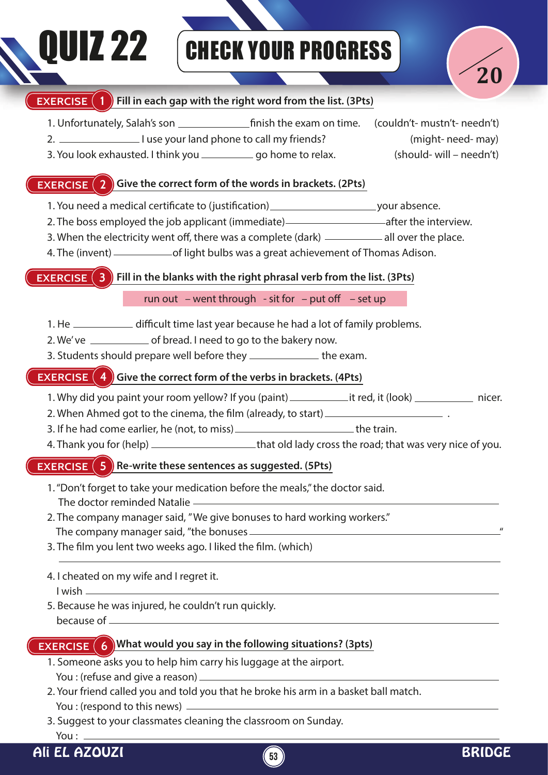# **DUIZ 22 GHECK YOUR PROGRESS**



#### **EXERCISE (1)** Fill in each gap with the right word from the list. (3Pts)

- 1. Unfortunately, Salah's son nish the exam on time. (couldn't- mustn't- needn't) 2. 1use your land phone to call my friends? (might- need- may)
	- 3. You look exhausted. I think you go home to relax. (should- will needn't)

#### **EXERCISE (2) Give the correct form of the words in brackets. (2Pts)**

- 1. You need a medical certificate to (justification)\_\_\_\_\_\_\_\_\_\_\_\_\_\_\_\_\_\_\_\_\_\_\_\_\_\_\_\_\_your absence.
- 2. The boss employed the job applicant (immediate) and after the interview.
- 3. When the electricity went off, there was a complete (dark) \_\_\_\_\_\_\_\_\_\_ all over the place.
- 4. The (invent) \_\_\_\_\_\_\_\_\_\_\_\_\_\_\_\_of light bulbs was a great achievement of Thomas Adison.

**EXERCISE (3)** Fill in the blanks with the right phrasal verb from the list. (3Pts)

run out – went through - sit for – put off – set up

- 1. He \_\_\_\_\_\_\_\_\_\_\_\_\_\_ difficult time last year because he had a lot of family problems.
- 2. We've \_\_\_\_\_\_\_\_\_\_\_\_\_\_\_ of bread. I need to go to the bakery now.
- 3. Students should prepare well before they \_\_\_\_\_\_\_\_\_\_\_\_\_\_\_ the exam.

### **EXERCISE (4)** Give the correct form of the verbs in brackets. (4Pts)

- 1. Why did you paint your room yellow? If you (paint) it red, it (look) \_\_\_\_\_\_\_\_ nicer.
- 2. When Ahmed got to the cinema, the film (already, to start) \_\_\_\_\_\_\_\_\_\_\_\_\_\_\_\_\_\_
- 3. If he had come earlier, he (not, to miss)  $-$  the train.
- 4. Thank you for (help) \_\_\_\_\_\_\_\_\_\_\_\_\_\_\_\_\_\_\_\_\_that old lady cross the road; that was very nice of you.

#### **EXERCISE**  $(5)$  Re-write these sentences as suggested. (5Pts)

- 1. "Don't forget to take your medication before the meals," the doctor said. The doctor reminded Natalie
- 2. The company manager said, " We give bonuses to hard working workers." The company manager said, "the bonuses  $\equiv$
- 3. The film you lent two weeks ago. I liked the film. (which)

### 4. I cheated on my wife and I regret it. I wish

5. Because he was injured, he couldn't run quickly. because of

### **EXERCISE 6** What would you say in the following situations? (3pts)

- 1. Someone asks you to help him carry his luggage at the airport. You : (refuse and give a reason)
- 2. Your friend called you and told you that he broke his arm in a basket ball match. You : (respond to this news) -
- 3. Suggest to your classmates cleaning the classroom on Sunday. You : -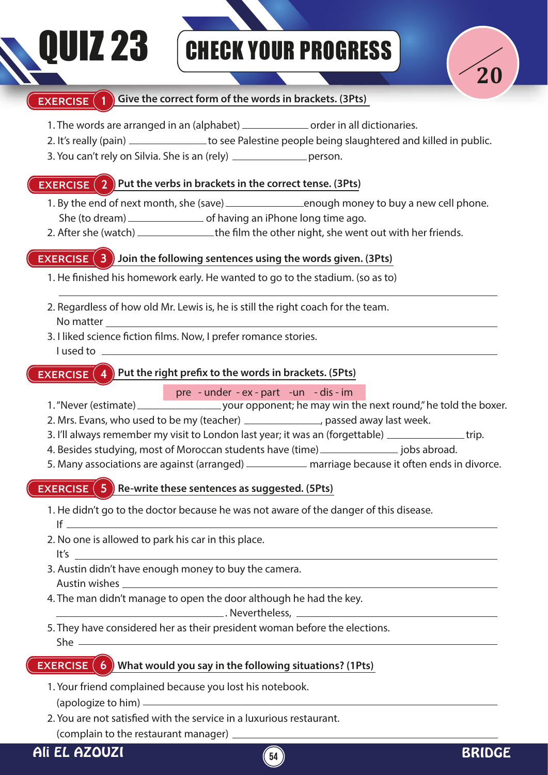## DUIZ 23 GHECK YOUR PROGRESS



#### **EXERCISE** (1) Give the correct form of the words in brackets. (3Pts)

- 1. The words are arranged in an (alphabet) \_\_\_\_\_\_\_\_\_\_\_\_\_\_ order in all dictionaries.
- 2. It's really (pain) \_\_\_\_\_\_\_\_\_\_\_\_\_\_\_ to see Palestine people being slaughtered and killed in public.
- 3. You can't rely on Silvia. She is an (rely) \_\_\_\_\_\_\_\_\_\_\_\_\_\_\_\_ person.

#### **EXERCISE (2) Put the verbs in brackets in the correct tense. (3Pts)**

- 1. By the end of next month, she (save) <u>end on the neugh money</u> to buy a new cell phone. She (to dream) of having an iPhone long time ago.
- 2. After she (watch) \_\_\_\_\_\_\_\_\_\_\_\_\_\_the film the other night, she went out with her friends.

#### **EXERCISE (3)** Join the following sentences using the words given. (3Pts)

1. He finished his homework early. He wanted to go to the stadium. (so as to)

- 2. Regardless of how old Mr. Lewis is, he is still the right coach for the team. No matter
- 3. I liked science fiction films. Now, I prefer romance stories. I used to

#### **EXERCISE**  $\left( 4 \right)$  Put the right prefix to the words in brackets. (5Pts)

#### pre - under - ex - part -un - dis - im

- 1. "Never (estimate) your opponent; he may win the next round," he told the boxer.
- 2. Mrs. Evans, who used to be my (teacher) \_\_\_\_\_\_\_\_\_\_\_\_\_\_\_, passed away last week.
- 3. I'll always remember my visit to London last year; it was an (forgettable) \_\_\_\_\_\_\_\_\_\_\_\_\_\_\_\_trip.
- 4. Besides studying, most of Moroccan students have (time) \_\_\_\_\_\_\_\_\_\_\_\_\_\_\_\_ jobs abroad.
- 5. Many associations are against (arranged) \_\_\_\_\_\_\_\_\_\_\_ marriage because it often ends in divorce.

#### **EXERCISE (5) Re-write these sentences as suggested. (5Pts)**

- 1. He didn't go to the doctor because he was not aware of the danger of this disease. If  $\equiv$
- 2. No one is allowed to park his car in this place. It's
- 3. Austin didn't have enough money to buy the camera. Austin wishes
- 4. The man didn't manage to open the door although he had the key.

. Nevertheless,

5. They have considered her as their president woman before the elections. She

#### **EXERCISE (6)** What would you say in the following situations? (1Pts)

- 1. Your friend complained because you lost his notebook. (apologize to him)
- 2. You are not satisfied with the service in a luxurious restaurant.

(complain to the restaurant manager)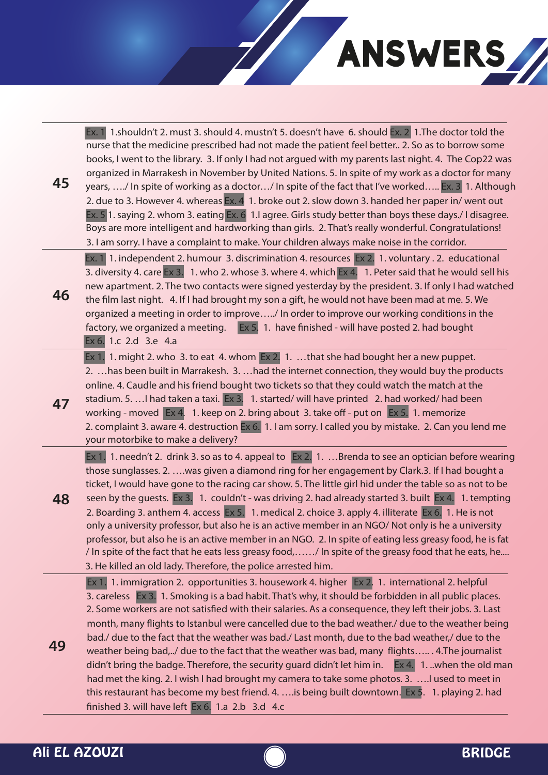

| 45 | Ex. 1 1.shouldn't 2. must 3. should 4. mustn't 5. doesn't have 6. should Ex. 2 1. The doctor told the<br>nurse that the medicine prescribed had not made the patient feel better 2. So as to borrow some<br>books, I went to the library. 3. If only I had not argued with my parents last night. 4. The Cop22 was<br>organized in Marrakesh in November by United Nations. 5. In spite of my work as a doctor for many<br>years, / In spite of working as a doctor/ In spite of the fact that I've worked Ex. 3 1. Although<br>2. due to 3. However 4. whereas Ex. 4 1. broke out 2. slow down 3. handed her paper in/ went out<br>Ex. 5 1. saying 2. whom 3. eating Ex. 6 1. lagree. Girls study better than boys these days./ I disagree.<br>Boys are more intelligent and hardworking than girls. 2. That's really wonderful. Congratulations!<br>3. I am sorry. I have a complaint to make. Your children always make noise in the corridor.                                          |
|----|--------------------------------------------------------------------------------------------------------------------------------------------------------------------------------------------------------------------------------------------------------------------------------------------------------------------------------------------------------------------------------------------------------------------------------------------------------------------------------------------------------------------------------------------------------------------------------------------------------------------------------------------------------------------------------------------------------------------------------------------------------------------------------------------------------------------------------------------------------------------------------------------------------------------------------------------------------------------------------------------|
| 46 | Ex. 1 1. independent 2. humour 3. discrimination 4. resources Ex 2. 1. voluntary . 2. educational<br>3. diversity 4. care Ex 3. 1. who 2. whose 3. where 4. which Ex 4. 1. Peter said that he would sell his<br>new apartment. 2. The two contacts were signed yesterday by the president. 3. If only I had watched<br>the film last night. 4. If I had brought my son a gift, he would not have been mad at me. 5. We<br>organized a meeting in order to improve/ In order to improve our working conditions in the<br>factory, we organized a meeting. Ex 5. 1. have finished - will have posted 2. had bought<br>Ex 6. 1.c 2.d 3.e 4.a                                                                                                                                                                                                                                                                                                                                                  |
| 47 | Ex 1. 1. might 2. who 3. to eat 4. whom Ex 2. 1. that she had bought her a new puppet.<br>2.  has been built in Marrakesh. 3.  had the internet connection, they would buy the products<br>online. 4. Caudle and his friend bought two tickets so that they could watch the match at the<br>stadium. 5.  I had taken a taxi. Ex 3. 1. started/ will have printed 2. had worked/ had been<br>working - moved Ex 4. 1. keep on 2. bring about 3. take off - put on Ex 5. 1. memorize<br>2. complaint 3. aware 4. destruction Ex 6. 1. I am sorry. I called you by mistake. 2. Can you lend me<br>your motorbike to make a delivery?                                                                                                                                                                                                                                                                                                                                                          |
| 48 | Ex 1. 1. needn't 2. drink 3. so as to 4. appeal to Ex 2. 1. Brenda to see an optician before wearing<br>those sunglasses. 2.  was given a diamond ring for her engagement by Clark. 3. If I had bought a<br>ticket, I would have gone to the racing car show. 5. The little girl hid under the table so as not to be<br>seen by the guests. Ex 3. 1. couldn't - was driving 2. had already started 3. built Ex 4. 1. tempting<br>2. Boarding 3. anthem 4. access Ex 5. 1. medical 2. choice 3. apply 4. illiterate Ex 6. 1. He is not<br>only a university professor, but also he is an active member in an NGO/ Not only is he a university<br>professor, but also he is an active member in an NGO. 2. In spite of eating less greasy food, he is fat<br>/ In spite of the fact that he eats less greasy food,/ In spite of the greasy food that he eats, he<br>3. He killed an old lady. Therefore, the police arrested him.                                                            |
| 49 | Ex 1. 1. immigration 2. opportunities 3. housework 4. higher Ex 2. 1. international 2. helpful<br>3. careless Ex 3. 1. Smoking is a bad habit. That's why, it should be forbidden in all public places.<br>2. Some workers are not satisfied with their salaries. As a consequence, they left their jobs. 3. Last<br>month, many flights to Istanbul were cancelled due to the bad weather./ due to the weather being<br>bad./ due to the fact that the weather was bad./ Last month, due to the bad weather,/ due to the<br>weather being bad,/ due to the fact that the weather was bad, many flights 4. The journalist<br>didn't bring the badge. Therefore, the security guard didn't let him in. Ex 4. 1. . when the old man<br>had met the king. 2. I wish I had brought my camera to take some photos. 3.  I used to meet in<br>this restaurant has become my best friend. 4.  is being built downtown. Ex 5. 1. playing 2. had<br>finished 3. will have left Ex 6. 1.a 2.b 3.d 4.c |